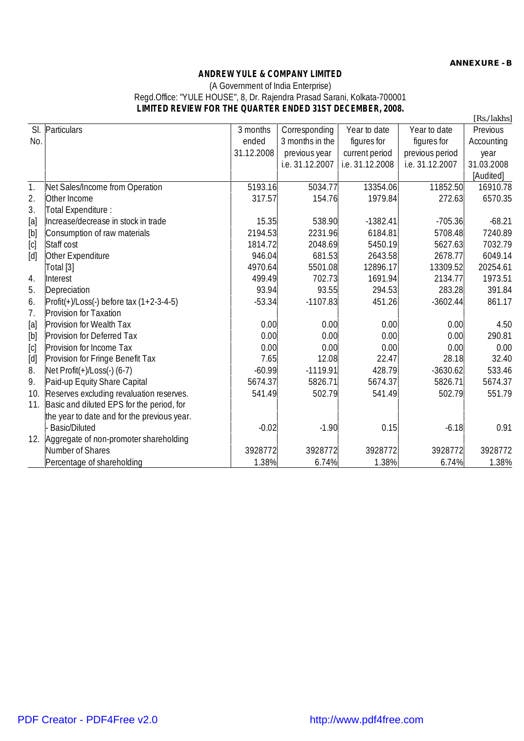## **ANDREW YULE & COMPANY LIMITED** (A Government of India Enterprise) Regd.Office: "YULE HOUSE", 8, Dr. Rajendra Prasad Sarani, Kolkata-700001 **LIMITED REVIEW FOR THE QUARTER ENDED 31ST DECEMBER, 2008.**

| SI.                                                                                                                                                                                                                                                                                                                                                                                                                                                                                                                                                                         | Particulars                                                 | 3 months   | Corresponding   | Year to date    | Year to date    | Previous   |  |  |  |
|-----------------------------------------------------------------------------------------------------------------------------------------------------------------------------------------------------------------------------------------------------------------------------------------------------------------------------------------------------------------------------------------------------------------------------------------------------------------------------------------------------------------------------------------------------------------------------|-------------------------------------------------------------|------------|-----------------|-----------------|-----------------|------------|--|--|--|
| No.                                                                                                                                                                                                                                                                                                                                                                                                                                                                                                                                                                         |                                                             | ended      | 3 months in the | figures for     | figures for     | Accounting |  |  |  |
|                                                                                                                                                                                                                                                                                                                                                                                                                                                                                                                                                                             |                                                             | 31.12.2008 | previous year   | current period  | previous period | year       |  |  |  |
|                                                                                                                                                                                                                                                                                                                                                                                                                                                                                                                                                                             |                                                             |            | i.e. 31.12.2007 | i.e. 31.12.2008 | i.e. 31.12.2007 | 31.03.2008 |  |  |  |
|                                                                                                                                                                                                                                                                                                                                                                                                                                                                                                                                                                             |                                                             |            |                 |                 |                 | [Audited]  |  |  |  |
| $\mathbf{1}$ .                                                                                                                                                                                                                                                                                                                                                                                                                                                                                                                                                              | Net Sales/Income from Operation                             | 5193.16    | 5034.77         | 13354.06        | 11852.50        | 16910.78   |  |  |  |
| 2.                                                                                                                                                                                                                                                                                                                                                                                                                                                                                                                                                                          | Other Income                                                | 317.57     | 154.76          | 1979.84         | 272.63          | 6570.35    |  |  |  |
| 3.                                                                                                                                                                                                                                                                                                                                                                                                                                                                                                                                                                          | Total Expenditure :                                         |            |                 |                 |                 |            |  |  |  |
| [a]                                                                                                                                                                                                                                                                                                                                                                                                                                                                                                                                                                         | Increase/decrease in stock in trade                         | 15.35      | 538.90          | $-1382.41$      | $-705.36$       | $-68.21$   |  |  |  |
| $[b] \centering% \includegraphics[width=1.0\textwidth]{figs/fig_0a}% \includegraphics[width=1.0\textwidth]{figs/fig_0b}% \includegraphics[width=1.0\textwidth]{figs/fig_0b}% \includegraphics[width=1.0\textwidth]{figs/fig_0b}% \includegraphics[width=1.0\textwidth]{figs/fig_0b}% \includegraphics[width=1.0\textwidth]{figs/fig_0b}% \includegraphics[width=1.0\textwidth]{figs/fig_0b}% \includegraphics[width=1.0\textwidth]{figs/fig_0b}% \includegraphics[width=1.0\textwidth]{figs/fig_0b}% \includegraphics[width=1.0\textwidth]{figs/fig_0b}% \includegraphics[$ | Consumption of raw materials                                | 2194.53    | 2231.96         | 6184.81         | 5708.48         | 7240.89    |  |  |  |
| [c]                                                                                                                                                                                                                                                                                                                                                                                                                                                                                                                                                                         | Staff cost                                                  | 1814.72    | 2048.69         | 5450.19         | 5627.63         | 7032.79    |  |  |  |
| [d]                                                                                                                                                                                                                                                                                                                                                                                                                                                                                                                                                                         | Other Expenditure                                           | 946.04     | 681.53          | 2643.58         | 2678.77         | 6049.14    |  |  |  |
|                                                                                                                                                                                                                                                                                                                                                                                                                                                                                                                                                                             | Total [3]                                                   | 4970.64    | 5501.08         | 12896.17        | 13309.52        | 20254.61   |  |  |  |
| 4.                                                                                                                                                                                                                                                                                                                                                                                                                                                                                                                                                                          | Interest                                                    | 499.49     | 702.73          | 1691.94         | 2134.77         | 1973.51    |  |  |  |
| 5.                                                                                                                                                                                                                                                                                                                                                                                                                                                                                                                                                                          | Depreciation                                                | 93.94      | 93.55           | 294.53          | 283.28          | 391.84     |  |  |  |
| 6.                                                                                                                                                                                                                                                                                                                                                                                                                                                                                                                                                                          | $\text{Profit}(+) / \text{Loss}()$ before tax $(1+2-3-4-5)$ | $-53.34$   | $-1107.83$      | 451.26          | $-3602.44$      | 861.17     |  |  |  |
| 7.                                                                                                                                                                                                                                                                                                                                                                                                                                                                                                                                                                          | Provision for Taxation                                      |            |                 |                 |                 |            |  |  |  |
| $[a]$                                                                                                                                                                                                                                                                                                                                                                                                                                                                                                                                                                       | Provision for Wealth Tax                                    | 0.00       | 0.00            | 0.00            | 0.00            | 4.50       |  |  |  |
| [b]                                                                                                                                                                                                                                                                                                                                                                                                                                                                                                                                                                         | Provision for Deferred Tax                                  | 0.00       | 0.00            | 0.00            | 0.00            | 290.81     |  |  |  |
| $[{\tt C}]$                                                                                                                                                                                                                                                                                                                                                                                                                                                                                                                                                                 | Provision for Income Tax                                    | 0.00       | 0.00            | 0.00            | 0.00            | 0.00       |  |  |  |
| $[d]$                                                                                                                                                                                                                                                                                                                                                                                                                                                                                                                                                                       | Provision for Fringe Benefit Tax                            | 7.65       | 12.08           | 22.47           | 28.18           | 32.40      |  |  |  |
| 8.                                                                                                                                                                                                                                                                                                                                                                                                                                                                                                                                                                          | Net $Profit(+)/Loss(-) (6-7)$                               | $-60.99$   | $-1119.91$      | 428.79          | $-3630.62$      | 533.46     |  |  |  |
| 9.                                                                                                                                                                                                                                                                                                                                                                                                                                                                                                                                                                          | Paid-up Equity Share Capital                                | 5674.37    | 5826.71         | 5674.37         | 5826.71         | 5674.37    |  |  |  |
| 10.                                                                                                                                                                                                                                                                                                                                                                                                                                                                                                                                                                         | Reserves excluding revaluation reserves.                    | 541.49     | 502.79          | 541.49          | 502.79          | 551.79     |  |  |  |
| 11.                                                                                                                                                                                                                                                                                                                                                                                                                                                                                                                                                                         | Basic and diluted EPS for the period, for                   |            |                 |                 |                 |            |  |  |  |
|                                                                                                                                                                                                                                                                                                                                                                                                                                                                                                                                                                             | the year to date and for the previous year.                 |            |                 |                 |                 |            |  |  |  |
|                                                                                                                                                                                                                                                                                                                                                                                                                                                                                                                                                                             | <b>Basic/Diluted</b>                                        | $-0.02$    | $-1.90$         | 0.15            | $-6.18$         | 0.91       |  |  |  |
| 12.                                                                                                                                                                                                                                                                                                                                                                                                                                                                                                                                                                         | Aggregate of non-promoter shareholding                      |            |                 |                 |                 |            |  |  |  |
|                                                                                                                                                                                                                                                                                                                                                                                                                                                                                                                                                                             | Number of Shares                                            | 3928772    | 3928772         | 3928772         | 3928772         | 3928772    |  |  |  |
|                                                                                                                                                                                                                                                                                                                                                                                                                                                                                                                                                                             | Percentage of shareholding                                  | 1.38%      | 6.74%           | 1.38%           | 6.74%           | 1.38%      |  |  |  |